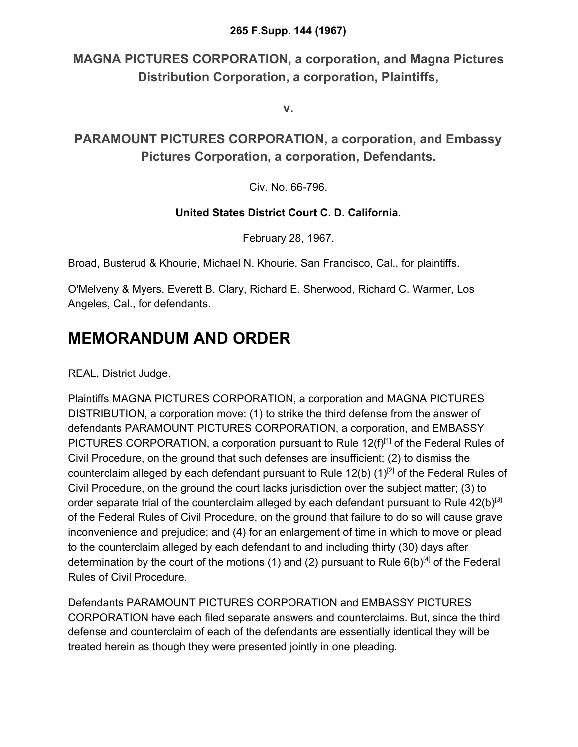#### **265 F.Supp. 144 (1967)**

**MAGNA PICTURES CORPORATION, a corporation, and Magna Pictures Distribution Corporation, a corporation, Plaintiffs,**

**v.**

**PARAMOUNT PICTURES CORPORATION, a corporation, and Embassy Pictures Corporation, a corporation, Defendants.**

Civ. No. 66-796.

#### **United States District Court C. D. California.**

February 28, 1967.

Broad, Busterud & Khourie, Michael N. Khourie, San Francisco, Cal., for plaintiffs.

O'Melveny & Myers, Everett B. Clary, Richard E. Sherwood, Richard C. Warmer, Los Angeles, Cal., for defendants.

#### **MEMORANDUM AND ORDER**

REAL, District Judge.

Plaintiffs MAGNA PICTURES CORPORATION, a corporation and MAGNA PICTURES DISTRIBUTION, a corporation move: (1) to strike the third defense from the answer of defendants PARAMOUNT PICTURES CORPORATION, a corporation, and EMBASSY PICTURES CORPORATION, a corporation pursuant to Rule  $12(f)^{[1]}$  of the Federal Rules of Civil Procedure, on the ground that such defenses are insufficient; (2) to dismiss the counterclaim alleged by each defendant pursuant to Rule 12(b)  $(1)^{[2]}$  of the Federal Rules of Civil Procedure, on the ground the court lacks jurisdiction over the subject matter; (3) to order separate trial of the counterclaim alleged by each defendant pursuant to Rule  $42(b)^{[3]}$ of the Federal Rules of Civil Procedure, on the ground that failure to do so will cause grave inconvenience and prejudice; and (4) for an enlargement of time in which to move or plead to the counterclaim alleged by each defendant to and including thirty (30) days after determination by the court of the motions (1) and (2) pursuant to Rule  $6(b)^{[4]}$  of the Federal Rules of Civil Procedure.

Defendants PARAMOUNT PICTURES CORPORATION and EMBASSY PICTURES CORPORATION have each filed separate answers and counterclaims. But, since the third defense and counterclaim of each of the defendants are essentially identical they will be treated herein as though they were presented jointly in one pleading.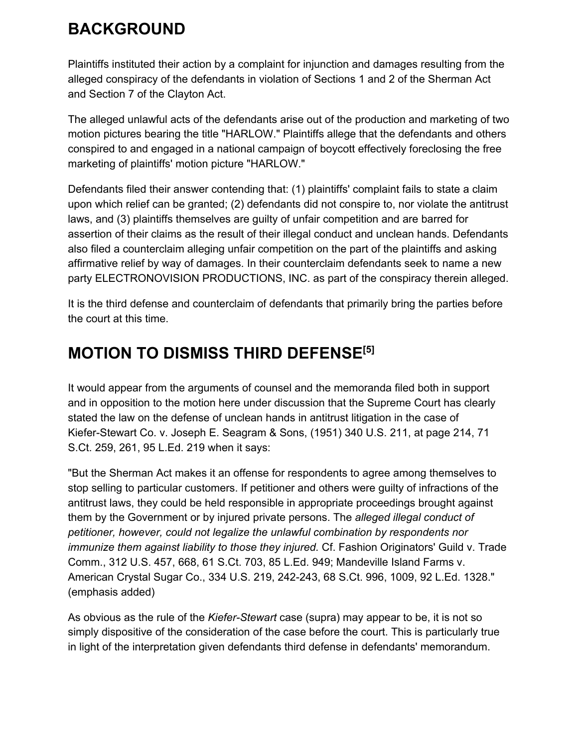# **BACKGROUND**

Plaintiffs instituted their action by a complaint for injunction and damages resulting from the alleged conspiracy of the defendants in violation of Sections 1 and 2 of the Sherman Act and Section 7 of the Clayton Act.

The alleged unlawful acts of the defendants arise out of the production and marketing of two motion pictures bearing the title "HARLOW." Plaintiffs allege that the defendants and others conspired to and engaged in a national campaign of boycott effectively foreclosing the free marketing of plaintiffs' motion picture "HARLOW."

Defendants filed their answer contending that: (1) plaintiffs' complaint fails to state a claim upon which relief can be granted; (2) defendants did not conspire to, nor violate the antitrust laws, and (3) plaintiffs themselves are guilty of unfair competition and are barred for assertion of their claims as the result of their illegal conduct and unclean hands. Defendants also filed a counterclaim alleging unfair competition on the part of the plaintiffs and asking affirmative relief by way of damages. In their counterclaim defendants seek to name a new party ELECTRONOVISION PRODUCTIONS, INC. as part of the conspiracy therein alleged.

It is the third defense and counterclaim of defendants that primarily bring the parties before the court at this time.

# **MOTION TO DISMISS THIRD DEFENSE[5]**

It would appear from the arguments of counsel and the memoranda filed both in support and in opposition to the motion here under discussion that the Supreme Court has clearly stated the law on the defense of unclean hands in antitrust litigation in the case of Kiefer-Stewart Co. v. Joseph E. Seagram & Sons, (1951) 340 U.S. 211, at page 214, 71 S.Ct. 259, 261, 95 L.Ed. 219 when it says:

"But the Sherman Act makes it an offense for respondents to agree among themselves to stop selling to particular customers. If petitioner and others were guilty of infractions of the antitrust laws, they could be held responsible in appropriate proceedings brought against them by the Government or by injured private persons. The *alleged illegal conduct of petitioner, however, could not legalize the unlawful combination by respondents nor immunize them against liability to those they injured.* Cf. Fashion Originators' Guild v. Trade Comm., 312 U.S. 457, 668, 61 S.Ct. 703, 85 L.Ed. 949; Mandeville Island Farms v. American Crystal Sugar Co., 334 U.S. 219, 242-243, 68 S.Ct. 996, 1009, 92 L.Ed. 1328." (emphasis added)

As obvious as the rule of the *Kiefer-Stewart* case (supra) may appear to be, it is not so simply dispositive of the consideration of the case before the court. This is particularly true in light of the interpretation given defendants third defense in defendants' memorandum.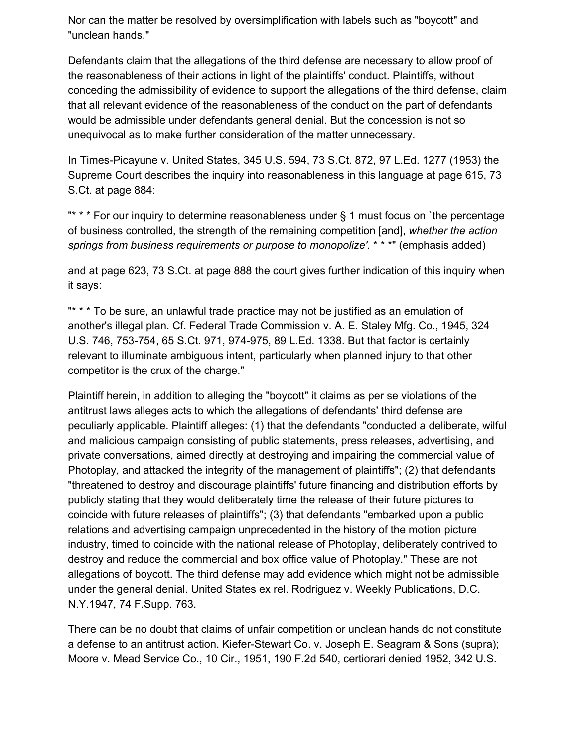Nor can the matter be resolved by oversimplification with labels such as "boycott" and "unclean hands."

Defendants claim that the allegations of the third defense are necessary to allow proof of the reasonableness of their actions in light of the plaintiffs' conduct. Plaintiffs, without conceding the admissibility of evidence to support the allegations of the third defense, claim that all relevant evidence of the reasonableness of the conduct on the part of defendants would be admissible under defendants general denial. But the concession is not so unequivocal as to make further consideration of the matter unnecessary.

In Times-Picayune v. United States, 345 U.S. 594, 73 S.Ct. 872, 97 L.Ed. 1277 (1953) the Supreme Court describes the inquiry into reasonableness in this language at page 615, 73 S.Ct. at page 884:

"\* \* \* For our inquiry to determine reasonableness under § 1 must focus on `the percentage of business controlled, the strength of the remaining competition [and], *whether the action springs from business requirements or purpose to monopolize'.* \* \* \*" (emphasis added)

and at page 623, 73 S.Ct. at page 888 the court gives further indication of this inquiry when it says:

"\* \* \* To be sure, an unlawful trade practice may not be justified as an emulation of another's illegal plan. Cf. Federal Trade Commission v. A. E. Staley Mfg. Co., 1945, 324 U.S. 746, 753-754, 65 S.Ct. 971, 974-975, 89 L.Ed. 1338. But that factor is certainly relevant to illuminate ambiguous intent, particularly when planned injury to that other competitor is the crux of the charge."

Plaintiff herein, in addition to alleging the "boycott" it claims as per se violations of the antitrust laws alleges acts to which the allegations of defendants' third defense are peculiarly applicable. Plaintiff alleges: (1) that the defendants "conducted a deliberate, wilful and malicious campaign consisting of public statements, press releases, advertising, and private conversations, aimed directly at destroying and impairing the commercial value of Photoplay, and attacked the integrity of the management of plaintiffs"; (2) that defendants "threatened to destroy and discourage plaintiffs' future financing and distribution efforts by publicly stating that they would deliberately time the release of their future pictures to coincide with future releases of plaintiffs"; (3) that defendants "embarked upon a public relations and advertising campaign unprecedented in the history of the motion picture industry, timed to coincide with the national release of Photoplay, deliberately contrived to destroy and reduce the commercial and box office value of Photoplay." These are not allegations of boycott. The third defense may add evidence which might not be admissible under the general denial. United States ex rel. Rodriguez v. Weekly Publications, D.C. N.Y.1947, 74 F.Supp. 763.

There can be no doubt that claims of unfair competition or unclean hands do not constitute a defense to an antitrust action. Kiefer-Stewart Co. v. Joseph E. Seagram & Sons (supra); Moore v. Mead Service Co., 10 Cir., 1951, 190 F.2d 540, certiorari denied 1952, 342 U.S.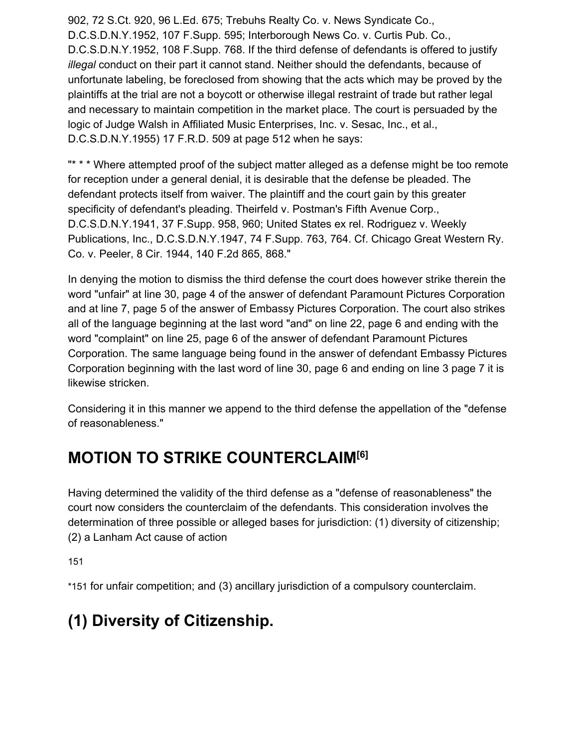902, 72 S.Ct. 920, 96 L.Ed. 675; Trebuhs Realty Co. v. News Syndicate Co., D.C.S.D.N.Y.1952, 107 F.Supp. 595; Interborough News Co. v. Curtis Pub. Co., D.C.S.D.N.Y.1952, 108 F.Supp. 768. If the third defense of defendants is offered to justify *illegal* conduct on their part it cannot stand. Neither should the defendants, because of unfortunate labeling, be foreclosed from showing that the acts which may be proved by the plaintiffs at the trial are not a boycott or otherwise illegal restraint of trade but rather legal and necessary to maintain competition in the market place. The court is persuaded by the logic of Judge Walsh in Affiliated Music Enterprises, Inc. v. Sesac, Inc., et al., D.C.S.D.N.Y.1955) 17 F.R.D. 509 at page 512 when he says:

"\* \* \* Where attempted proof of the subject matter alleged as a defense might be too remote for reception under a general denial, it is desirable that the defense be pleaded. The defendant protects itself from waiver. The plaintiff and the court gain by this greater specificity of defendant's pleading. Theirfeld v. Postman's Fifth Avenue Corp., D.C.S.D.N.Y.1941, 37 F.Supp. 958, 960; United States ex rel. Rodriguez v. Weekly Publications, Inc., D.C.S.D.N.Y.1947, 74 F.Supp. 763, 764. Cf. Chicago Great Western Ry. Co. v. Peeler, 8 Cir. 1944, 140 F.2d 865, 868."

In denying the motion to dismiss the third defense the court does however strike therein the word "unfair" at line 30, page 4 of the answer of defendant Paramount Pictures Corporation and at line 7, page 5 of the answer of Embassy Pictures Corporation. The court also strikes all of the language beginning at the last word "and" on line 22, page 6 and ending with the word "complaint" on line 25, page 6 of the answer of defendant Paramount Pictures Corporation. The same language being found in the answer of defendant Embassy Pictures Corporation beginning with the last word of line 30, page 6 and ending on line 3 page 7 it is likewise stricken.

Considering it in this manner we append to the third defense the appellation of the "defense of reasonableness."

## **MOTION TO STRIKE COUNTERCLAIM[6]**

Having determined the validity of the third defense as a "defense of reasonableness" the court now considers the counterclaim of the defendants. This consideration involves the determination of three possible or alleged bases for jurisdiction: (1) diversity of citizenship; (2) a Lanham Act cause of action

15[1](https://scholar.google.com/scholar_case?case=17143317080042269570&q=paramount+pictures&hl=en&as_sdt=6,33#p151)

\*151 for unfair competition; and (3) ancillary jurisdiction of a compulsory counterclaim.

# **(1) Diversity of Citizenship.**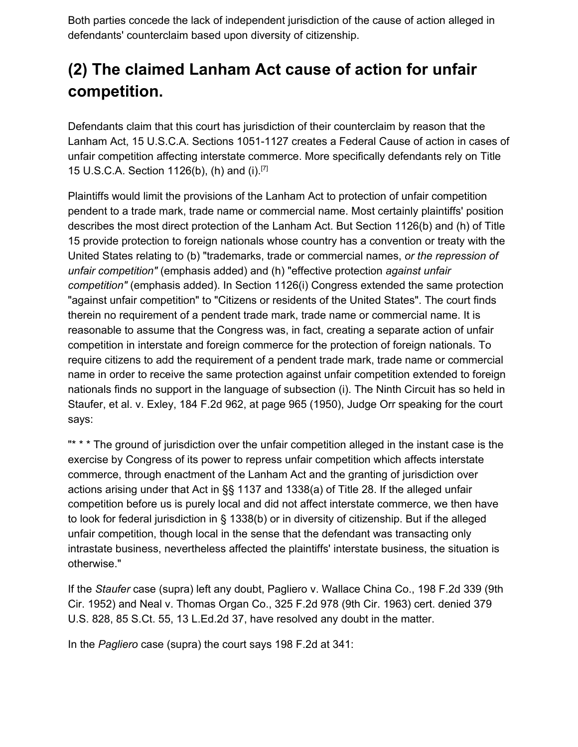Both parties concede the lack of independent jurisdiction of the cause of action alleged in defendants' counterclaim based upon diversity of citizenship.

# **(2) The claimed Lanham Act cause of action for unfair competition.**

Defendants claim that this court has jurisdiction of their counterclaim by reason that the Lanham Act, 15 U.S.C.A. Sections 1051-1127 creates a Federal Cause of action in cases of unfair competition affecting interstate commerce. More specifically defendants rely on Title 15 U.S.C.A. Section 1126(b), (h) and (i).[7]

Plaintiffs would limit the provisions of the Lanham Act to protection of unfair competition pendent to a trade mark, trade name or commercial name. Most certainly plaintiffs' position describes the most direct protection of the Lanham Act. But Section 1126(b) and (h) of Title 15 provide protection to foreign nationals whose country has a convention or treaty with the United States relating to (b) "trademarks, trade or commercial names, *or the repression of unfair competition"* (emphasis added) and (h) "effective protection *against unfair competition"* (emphasis added). In Section 1126(i) Congress extended the same protection "against unfair competition" to "Citizens or residents of the United States". The court finds therein no requirement of a pendent trade mark, trade name or commercial name. It is reasonable to assume that the Congress was, in fact, creating a separate action of unfair competition in interstate and foreign commerce for the protection of foreign nationals. To require citizens to add the requirement of a pendent trade mark, trade name or commercial name in order to receive the same protection against unfair competition extended to foreign nationals finds no support in the language of subsection (i). The Ninth Circuit has so held in Staufer, et al. v. Exley, 184 F.2d 962, at page 965 (1950), Judge Orr speaking for the court says:

"\* \* \* The ground of jurisdiction over the unfair competition alleged in the instant case is the exercise by Congress of its power to repress unfair competition which affects interstate commerce, through enactment of the Lanham Act and the granting of jurisdiction over actions arising under that Act in §§ 1137 and 1338(a) of Title 28. If the alleged unfair competition before us is purely local and did not affect interstate commerce, we then have to look for federal jurisdiction in § 1338(b) or in diversity of citizenship. But if the alleged unfair competition, though local in the sense that the defendant was transacting only intrastate business, nevertheless affected the plaintiffs' interstate business, the situation is otherwise."

If the *Staufer* case (supra) left any doubt, Pagliero v. Wallace China Co., 198 F.2d 339 (9th Cir. 1952) and Neal v. Thomas Organ Co., 325 F.2d 978 (9th Cir. 1963) cert. denied 379 U.S. 828, 85 S.Ct. 55, 13 L.Ed.2d 37, have resolved any doubt in the matter.

In the *Pagliero* case (supra) the court says 198 F.2d at 341: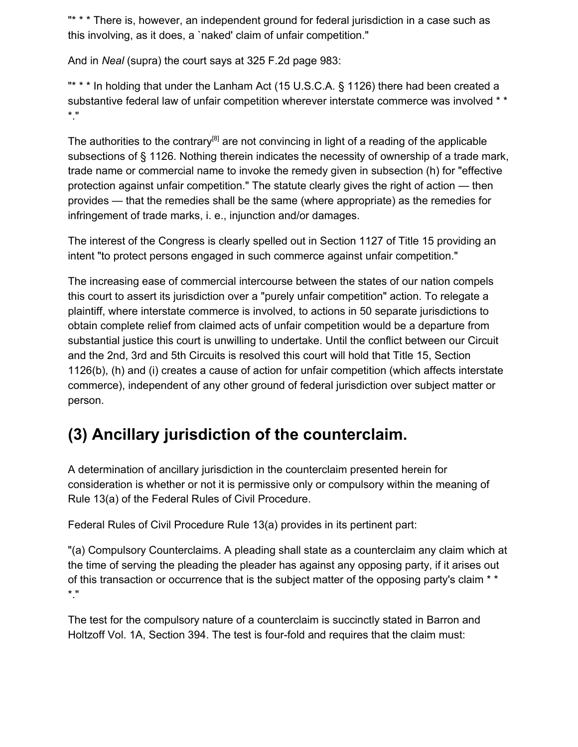"\* \* \* There is, however, an independent ground for federal jurisdiction in a case such as this involving, as it does, a `naked' claim of unfair competition."

And in *Neal* (supra) the court says at 325 F.2d page 983:

"\* \* \* In holding that under the Lanham Act (15 U.S.C.A. § 1126) there had been created a substantive federal law of unfair competition wherever interstate commerce was involved \* \* \*."

The authorities to the contrary<sup>[8]</sup> are not convincing in light of a reading of the applicable subsections of § 1126. Nothing therein indicates the necessity of ownership of a trade mark, trade name or commercial name to invoke the remedy given in subsection (h) for "effective protection against unfair competition." The statute clearly gives the right of action — then provides — that the remedies shall be the same (where appropriate) as the remedies for infringement of trade marks, i. e., injunction and/or damages.

The interest of the Congress is clearly spelled out in Section 1127 of Title 15 providing an intent "to protect persons engaged in such commerce against unfair competition."

The increasing ease of commercial intercourse between the states of our nation compels this court to assert its jurisdiction over a "purely unfair competition" action. To relegate a plaintiff, where interstate commerce is involved, to actions in 50 separate jurisdictions to obtain complete relief from claimed acts of unfair competition would be a departure from substantial justice this court is unwilling to undertake. Until the conflict between our Circuit and the 2nd, 3rd and 5th Circuits is resolved this court will hold that Title 15, Section 1126(b), (h) and (i) creates a cause of action for unfair competition (which affects interstate commerce), independent of any other ground of federal jurisdiction over subject matter or person.

## **(3) Ancillary jurisdiction of the counterclaim.**

A determination of ancillary jurisdiction in the counterclaim presented herein for consideration is whether or not it is permissive only or compulsory within the meaning of Rule 13(a) of the Federal Rules of Civil Procedure.

Federal Rules of Civil Procedure Rule 13(a) provides in its pertinent part:

"(a) Compulsory Counterclaims. A pleading shall state as a counterclaim any claim which at the time of serving the pleading the pleader has against any opposing party, if it arises out of this transaction or occurrence that is the subject matter of the opposing party's claim \* \* \*."

The test for the compulsory nature of a counterclaim is succinctly stated in Barron and Holtzoff Vol. 1A, Section 394. The test is four-fold and requires that the claim must: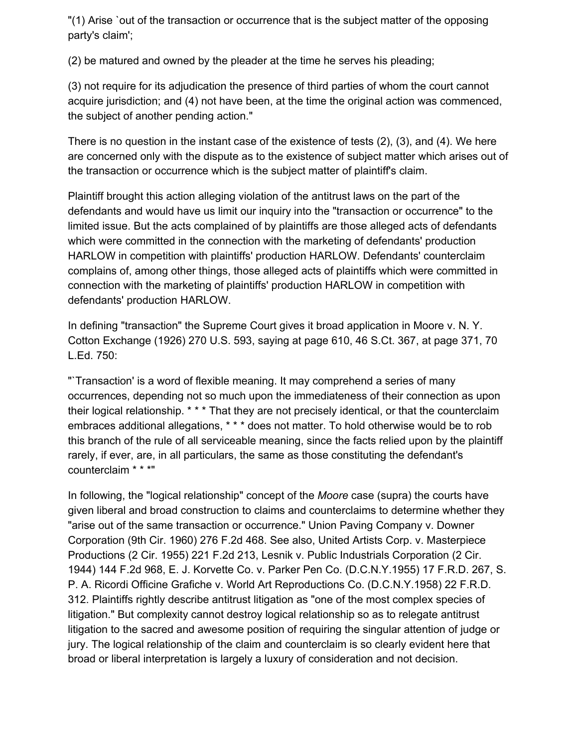"(1) Arise `out of the transaction or occurrence that is the subject matter of the opposing party's claim';

(2) be matured and owned by the pleader at the time he serves his pleading;

(3) not require for its adjudication the presence of third parties of whom the court cannot acquire jurisdiction; and (4) not have been, at the time the original action was commenced, the subject of another pending action."

There is no question in the instant case of the existence of tests (2), (3), and (4). We here are concerned only with the dispute as to the existence of subject matter which arises out of the transaction or occurrence which is the subject matter of plaintiff's claim.

Plaintiff brought this action alleging violation of the antitrust laws on the part of the defendants and would have us limit our inquiry into the "transaction or occurrence" to the limited issue. But the acts complained of by plaintiffs are those alleged acts of defendants which were committed in the connection with the marketing of defendants' production HARLOW in competition with plaintiffs' production HARLOW. Defendants' counterclaim complains of, among other things, those alleged acts of plaintiffs which were committed in connection with the marketing of plaintiffs' production HARLOW in competition with defendants' production HARLOW.

In defining "transaction" the Supreme Court gives it broad application in Moore v. N. Y. Cotton Exchange (1926) 270 U.S. 593, saying at page 610, 46 S.Ct. 367, at page 371, 70 L.Ed. 750:

"`Transaction' is a word of flexible meaning. It may comprehend a series of many occurrences, depending not so much upon the immediateness of their connection as upon their logical relationship. \* \* \* That they are not precisely identical, or that the counterclaim embraces additional allegations, \* \* \* does not matter. To hold otherwise would be to rob this branch of the rule of all serviceable meaning, since the facts relied upon by the plaintiff rarely, if ever, are, in all particulars, the same as those constituting the defendant's counterclaim \* \* \*"

In following, the "logical relationship" concept of the *Moore* case (supra) the courts have given liberal and broad construction to claims and counterclaims to determine whether they "arise out of the same transaction or occurrence." Union Paving Company v. Downer Corporation (9th Cir. 1960) 276 F.2d 468. See also, United Artists Corp. v. Masterpiece Productions (2 Cir. 1955) 221 F.2d 213, Lesnik v. Public Industrials Corporation (2 Cir. 1944) 144 F.2d 968, E. J. Korvette Co. v. Parker Pen Co. (D.C.N.Y.1955) 17 F.R.D. 267, S. P. A. Ricordi Officine Grafiche v. World Art Reproductions Co. (D.C.N.Y.1958) 22 F.R.D. 312. Plaintiffs rightly describe antitrust litigation as "one of the most complex species of litigation." But complexity cannot destroy logical relationship so as to relegate antitrust litigation to the sacred and awesome position of requiring the singular attention of judge or jury. The logical relationship of the claim and counterclaim is so clearly evident here that broad or liberal interpretation is largely a luxury of consideration and not decision.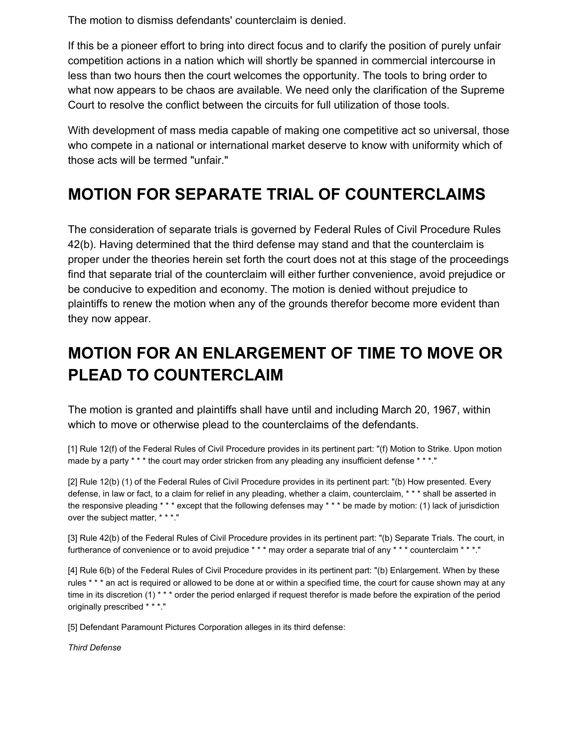The motion to dismiss defendants' counterclaim is denied.

If this be a pioneer effort to bring into direct focus and to clarify the position of purely unfair competition actions in a nation which will shortly be spanned in commercial intercourse in less than two hours then the court welcomes the opportunity. The tools to bring order to what now appears to be chaos are available. We need only the clarification of the Supreme Court to resolve the conflict between the circuits for full utilization of those tools.

With development of mass media capable of making one competitive act so universal, those who compete in a national or international market deserve to know with uniformity which of those acts will be termed "unfair."

#### **MOTION FOR SEPARATE TRIAL OF COUNTERCLAIMS**

The consideration of separate trials is governed by Federal Rules of Civil Procedure Rules 42(b). Having determined that the third defense may stand and that the counterclaim is proper under the theories herein set forth the court does not at this stage of the proceedings find that separate trial of the counterclaim will either further convenience, avoid prejudice or be conducive to expedition and economy. The motion is denied without prejudice to plaintiffs to renew the motion when any of the grounds therefor become more evident than they now appear.

# **MOTION FOR AN ENLARGEMENT OF TIME TO MOVE OR PLEAD TO COUNTERCLAIM**

The motion is granted and plaintiffs shall have until and including March 20, 1967, within which to move or otherwise plead to the counterclaims of the defendants.

[1] Rule 12(f) of the Federal Rules of Civil Procedure provides in its pertinent part: "(f) Motion to Strike. Upon motion made by a party \* \* \* the court may order stricken from any pleading any insufficient defense \* \* \*."

[2] Rule 12(b) (1) of the Federal Rules of Civil Procedure provides in its pertinent part: "(b) How presented. Every defense, in law or fact, to a claim for relief in any pleading, whether a claim, counterclaim, \* \* \* shall be asserted in the responsive pleading \* \* \* except that the following defenses may \* \* \* be made by motion: (1) lack of jurisdiction over the subject matter, \* \* \*."

[3] Rule 42(b) of the Federal Rules of Civil Procedure provides in its pertinent part: "(b) Separate Trials. The court, in furtherance of convenience or to avoid prejudice \*\*\* may order a separate trial of any \*\*\* counterclaim \*\*\*."

[4] Rule 6(b) of the Federal Rules of Civil Procedure provides in its pertinent part: "(b) Enlargement. When by these rules \* \* \* an act is required or allowed to be done at or within a specified time, the court for cause shown may at any time in its discretion (1) \* \* \* order the period enlarged if request therefor is made before the expiration of the period originally prescribed \* \* \*."

[5] Defendant Paramount Pictures Corporation alleges in its third defense:

*Third Defense*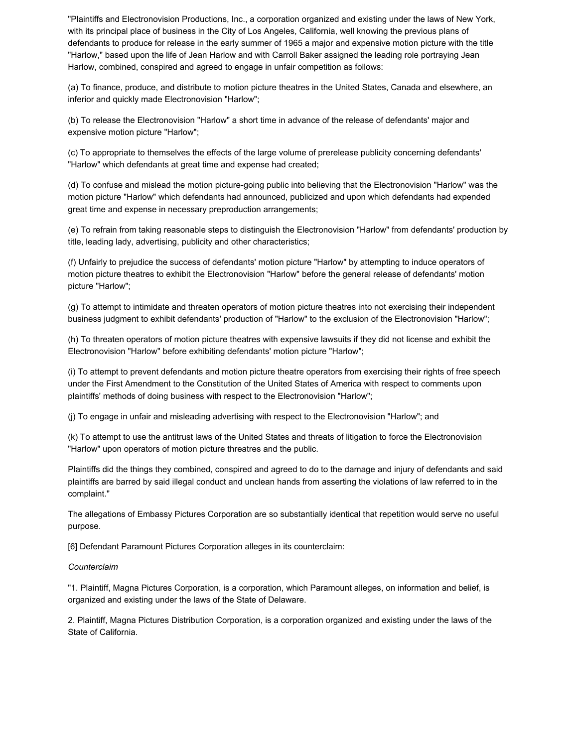"Plaintiffs and Electronovision Productions, Inc., a corporation organized and existing under the laws of New York, with its principal place of business in the City of Los Angeles, California, well knowing the previous plans of defendants to produce for release in the early summer of 1965 a major and expensive motion picture with the title "Harlow," based upon the life of Jean Harlow and with Carroll Baker assigned the leading role portraying Jean Harlow, combined, conspired and agreed to engage in unfair competition as follows:

(a) To finance, produce, and distribute to motion picture theatres in the United States, Canada and elsewhere, an inferior and quickly made Electronovision "Harlow";

(b) To release the Electronovision "Harlow" a short time in advance of the release of defendants' major and expensive motion picture "Harlow";

(c) To appropriate to themselves the effects of the large volume of prerelease publicity concerning defendants' "Harlow" which defendants at great time and expense had created;

(d) To confuse and mislead the motion picture-going public into believing that the Electronovision "Harlow" was the motion picture "Harlow" which defendants had announced, publicized and upon which defendants had expended great time and expense in necessary preproduction arrangements;

(e) To refrain from taking reasonable steps to distinguish the Electronovision "Harlow" from defendants' production by title, leading lady, advertising, publicity and other characteristics;

(f) Unfairly to prejudice the success of defendants' motion picture "Harlow" by attempting to induce operators of motion picture theatres to exhibit the Electronovision "Harlow" before the general release of defendants' motion picture "Harlow";

(g) To attempt to intimidate and threaten operators of motion picture theatres into not exercising their independent business judgment to exhibit defendants' production of "Harlow" to the exclusion of the Electronovision "Harlow";

(h) To threaten operators of motion picture theatres with expensive lawsuits if they did not license and exhibit the Electronovision "Harlow" before exhibiting defendants' motion picture "Harlow";

(i) To attempt to prevent defendants and motion picture theatre operators from exercising their rights of free speech under the First Amendment to the Constitution of the United States of America with respect to comments upon plaintiffs' methods of doing business with respect to the Electronovision "Harlow";

(j) To engage in unfair and misleading advertising with respect to the Electronovision "Harlow"; and

(k) To attempt to use the antitrust laws of the United States and threats of litigation to force the Electronovision "Harlow" upon operators of motion picture threatres and the public.

Plaintiffs did the things they combined, conspired and agreed to do to the damage and injury of defendants and said plaintiffs are barred by said illegal conduct and unclean hands from asserting the violations of law referred to in the complaint."

The allegations of Embassy Pictures Corporation are so substantially identical that repetition would serve no useful purpose.

[6] Defendant Paramount Pictures Corporation alleges in its counterclaim:

#### *Counterclaim*

"1. Plaintiff, Magna Pictures Corporation, is a corporation, which Paramount alleges, on information and belief, is organized and existing under the laws of the State of Delaware.

2. Plaintiff, Magna Pictures Distribution Corporation, is a corporation organized and existing under the laws of the State of California.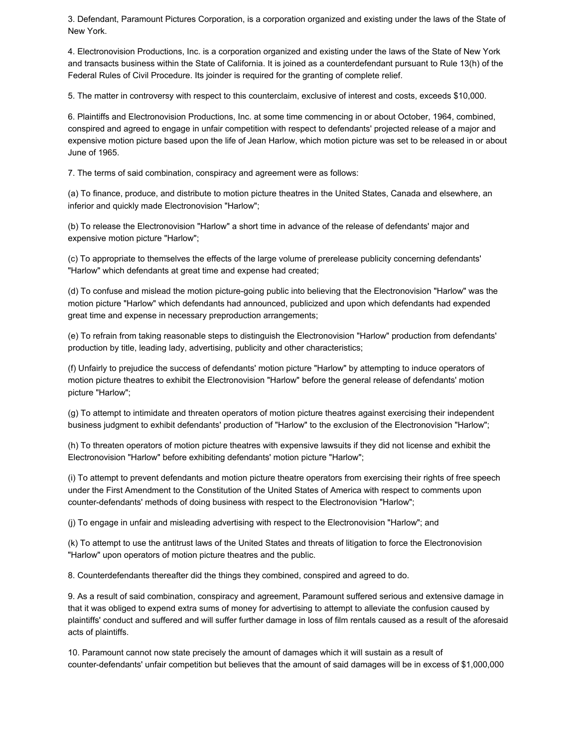3. Defendant, Paramount Pictures Corporation, is a corporation organized and existing under the laws of the State of New York.

4. Electronovision Productions, Inc. is a corporation organized and existing under the laws of the State of New York and transacts business within the State of California. It is joined as a counterdefendant pursuant to Rule 13(h) of the Federal Rules of Civil Procedure. Its joinder is required for the granting of complete relief.

5. The matter in controversy with respect to this counterclaim, exclusive of interest and costs, exceeds \$10,000.

6. Plaintiffs and Electronovision Productions, Inc. at some time commencing in or about October, 1964, combined, conspired and agreed to engage in unfair competition with respect to defendants' projected release of a major and expensive motion picture based upon the life of Jean Harlow, which motion picture was set to be released in or about June of 1965.

7. The terms of said combination, conspiracy and agreement were as follows:

(a) To finance, produce, and distribute to motion picture theatres in the United States, Canada and elsewhere, an inferior and quickly made Electronovision "Harlow";

(b) To release the Electronovision "Harlow" a short time in advance of the release of defendants' major and expensive motion picture "Harlow";

(c) To appropriate to themselves the effects of the large volume of prerelease publicity concerning defendants' "Harlow" which defendants at great time and expense had created;

(d) To confuse and mislead the motion picture-going public into believing that the Electronovision "Harlow" was the motion picture "Harlow" which defendants had announced, publicized and upon which defendants had expended great time and expense in necessary preproduction arrangements;

(e) To refrain from taking reasonable steps to distinguish the Electronovision "Harlow" production from defendants' production by title, leading lady, advertising, publicity and other characteristics;

(f) Unfairly to prejudice the success of defendants' motion picture "Harlow" by attempting to induce operators of motion picture theatres to exhibit the Electronovision "Harlow" before the general release of defendants' motion picture "Harlow";

(g) To attempt to intimidate and threaten operators of motion picture theatres against exercising their independent business judgment to exhibit defendants' production of "Harlow" to the exclusion of the Electronovision "Harlow";

(h) To threaten operators of motion picture theatres with expensive lawsuits if they did not license and exhibit the Electronovision "Harlow" before exhibiting defendants' motion picture "Harlow";

(i) To attempt to prevent defendants and motion picture theatre operators from exercising their rights of free speech under the First Amendment to the Constitution of the United States of America with respect to comments upon counter-defendants' methods of doing business with respect to the Electronovision "Harlow";

(j) To engage in unfair and misleading advertising with respect to the Electronovision "Harlow"; and

(k) To attempt to use the antitrust laws of the United States and threats of litigation to force the Electronovision "Harlow" upon operators of motion picture theatres and the public.

8. Counterdefendants thereafter did the things they combined, conspired and agreed to do.

9. As a result of said combination, conspiracy and agreement, Paramount suffered serious and extensive damage in that it was obliged to expend extra sums of money for advertising to attempt to alleviate the confusion caused by plaintiffs' conduct and suffered and will suffer further damage in loss of film rentals caused as a result of the aforesaid acts of plaintiffs.

10. Paramount cannot now state precisely the amount of damages which it will sustain as a result of counter-defendants' unfair competition but believes that the amount of said damages will be in excess of \$1,000,000